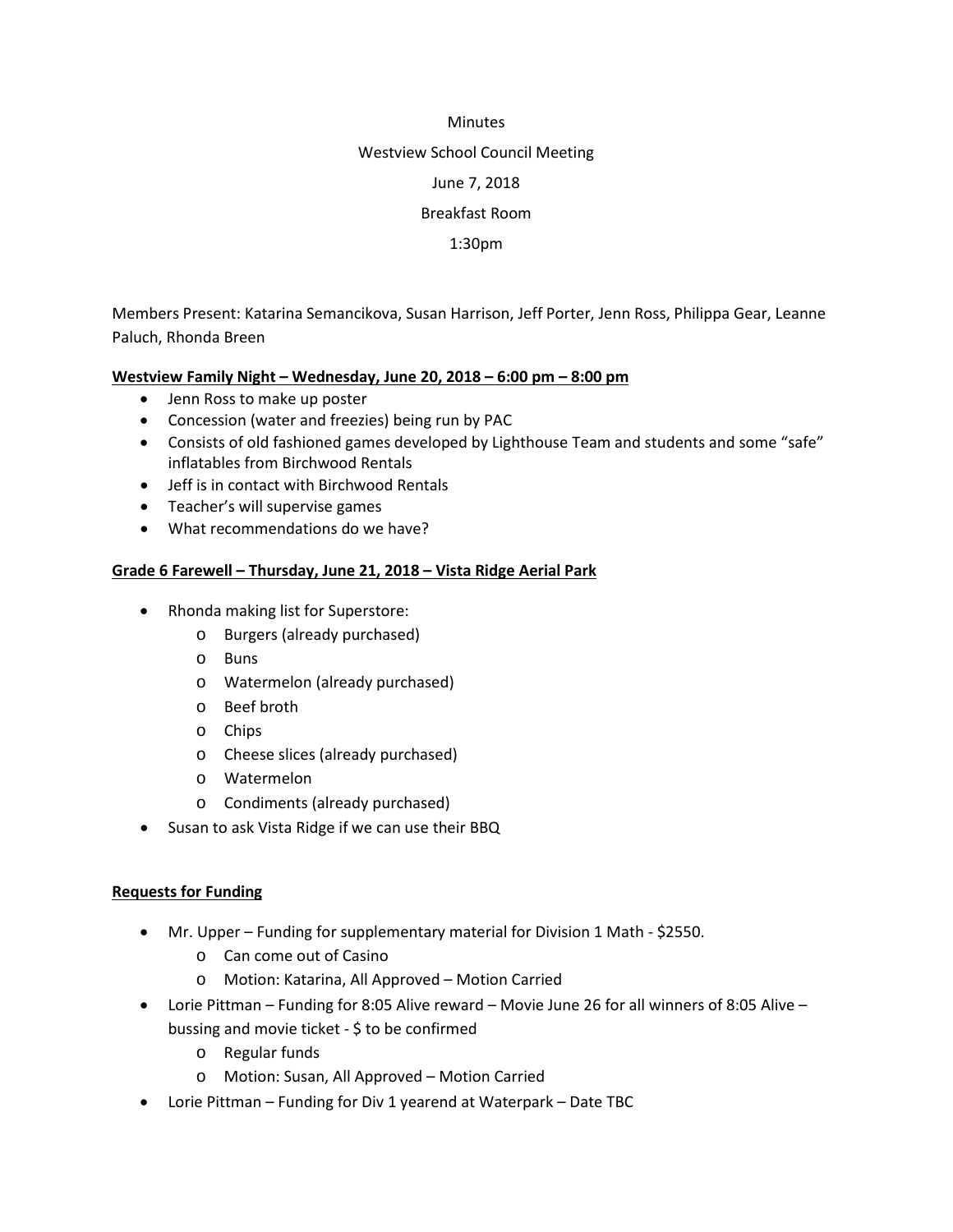## **Minutes**

## Westview School Council Meeting

June 7, 2018

# Breakfast Room

# 1:30pm

Members Present: Katarina Semancikova, Susan Harrison, Jeff Porter, Jenn Ross, Philippa Gear, Leanne Paluch, Rhonda Breen

# **Westview Family Night – Wednesday, June 20, 2018 – 6:00 pm – 8:00 pm**

- Jenn Ross to make up poster
- Concession (water and freezies) being run by PAC
- Consists of old fashioned games developed by Lighthouse Team and students and some "safe" inflatables from Birchwood Rentals
- Jeff is in contact with Birchwood Rentals
- Teacher's will supervise games
- What recommendations do we have?

# **Grade 6 Farewell – Thursday, June 21, 2018 – Vista Ridge Aerial Park**

- Rhonda making list for Superstore:
	- o Burgers (already purchased)
	- o Buns
	- o Watermelon (already purchased)
	- o Beef broth
	- o Chips
	- o Cheese slices (already purchased)
	- o Watermelon
	- o Condiments (already purchased)
- Susan to ask Vista Ridge if we can use their BBQ

# **Requests for Funding**

- Mr. Upper Funding for supplementary material for Division 1 Math \$2550.
	- o Can come out of Casino
	- o Motion: Katarina, All Approved Motion Carried
- Lorie Pittman Funding for 8:05 Alive reward Movie June 26 for all winners of 8:05 Alive bussing and movie ticket - \$ to be confirmed
	- o Regular funds
	- o Motion: Susan, All Approved Motion Carried
- Lorie Pittman Funding for Div 1 yearend at Waterpark Date TBC